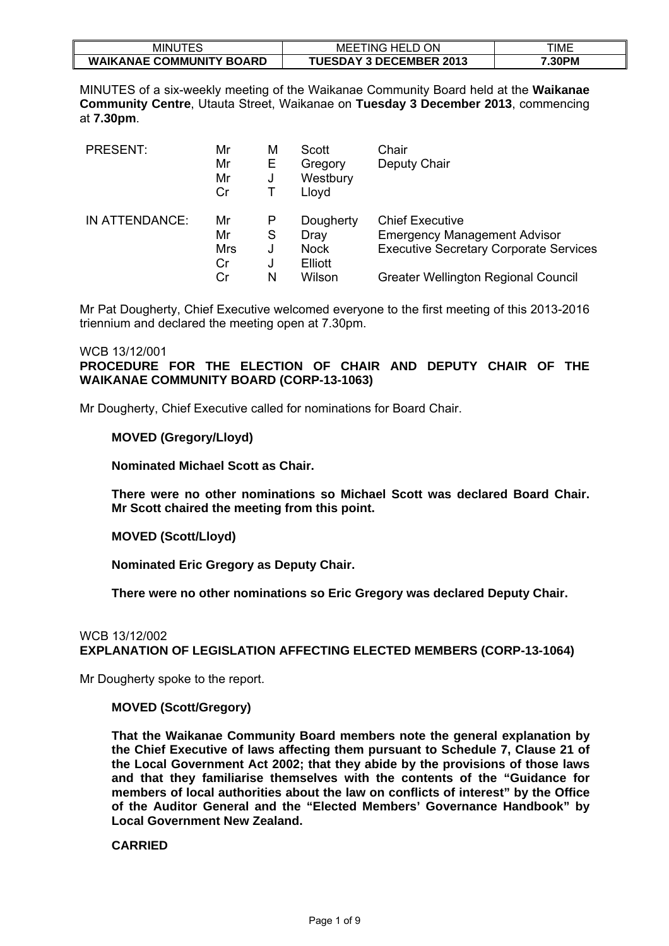| $  -$<br>MINU<br>ี ⊢ \          | <b>ON</b><br>HEL.<br>$\sim$<br>MEE<br>`ING<br>-- | TIME   |
|---------------------------------|--------------------------------------------------|--------|
| <b>WAIKANAE COMMUNITY BOARD</b> | <b>AY 3 DECEMBER 2013</b><br><b>TUESDA\</b>      | 7.30PM |

MINUTES of a six-weekly meeting of the Waikanae Community Board held at the **Waikanae Community Centre**, Utauta Street, Waikanae on **Tuesday 3 December 2013**, commencing at **7.30pm**.

| <b>PRESENT:</b> | Mr<br>Mr<br>Mr<br>Cr        | M<br>Е<br>J           | Scott<br>Gregory<br>Westbury<br>Lloyd                 | Chair<br>Deputy Chair                                                                                                                                        |
|-----------------|-----------------------------|-----------------------|-------------------------------------------------------|--------------------------------------------------------------------------------------------------------------------------------------------------------------|
| IN ATTENDANCE:  | Mr<br>Mr<br>Mrs<br>Cr<br>Cr | P<br>S<br>J<br>J<br>N | Dougherty<br>Dray<br><b>Nock</b><br>Elliott<br>Wilson | <b>Chief Executive</b><br><b>Emergency Management Advisor</b><br><b>Executive Secretary Corporate Services</b><br><b>Greater Wellington Regional Council</b> |

Mr Pat Dougherty, Chief Executive welcomed everyone to the first meeting of this 2013-2016 triennium and declared the meeting open at 7.30pm.

# WCB 13/12/001 **PROCEDURE FOR THE ELECTION OF CHAIR AND DEPUTY CHAIR OF THE WAIKANAE COMMUNITY BOARD (CORP-13-1063)**

Mr Dougherty, Chief Executive called for nominations for Board Chair.

#### **MOVED (Gregory/Lloyd)**

**Nominated Michael Scott as Chair.** 

**There were no other nominations so Michael Scott was declared Board Chair. Mr Scott chaired the meeting from this point.** 

#### **MOVED (Scott/Lloyd)**

**Nominated Eric Gregory as Deputy Chair.** 

**There were no other nominations so Eric Gregory was declared Deputy Chair.** 

# WCB 13/12/002 **EXPLANATION OF LEGISLATION AFFECTING ELECTED MEMBERS (CORP-13-1064)**

Mr Dougherty spoke to the report.

### **MOVED (Scott/Gregory)**

**That the Waikanae Community Board members note the general explanation by the Chief Executive of laws affecting them pursuant to Schedule 7, Clause 21 of the Local Government Act 2002; that they abide by the provisions of those laws and that they familiarise themselves with the contents of the "Guidance for members of local authorities about the law on conflicts of interest" by the Office of the Auditor General and the "Elected Members' Governance Handbook" by Local Government New Zealand.**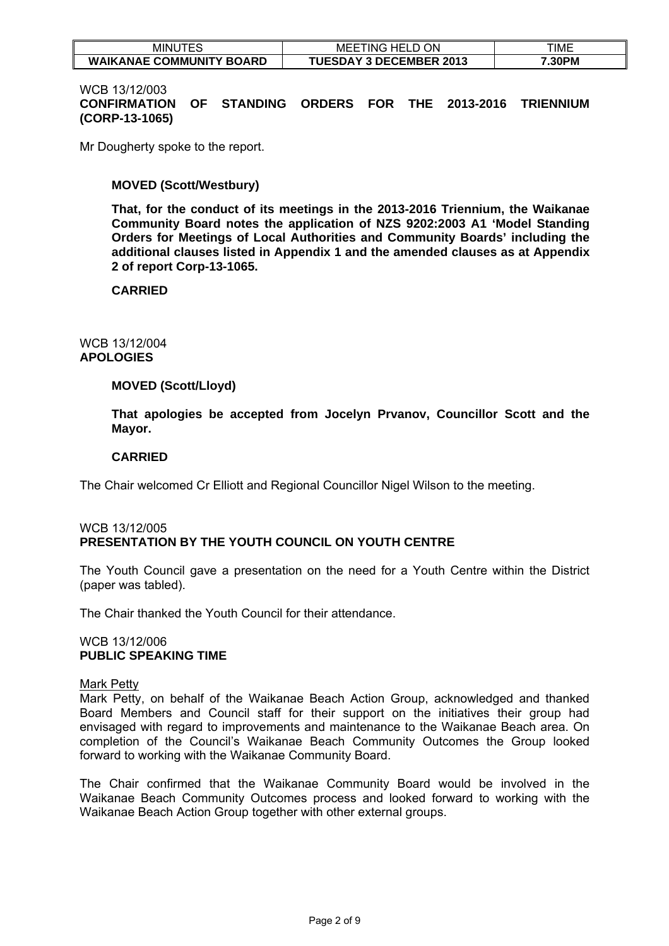| $- - -$<br>MINU<br>--           | ON<br>`HEL∟<br>'ING<br>MEE     | TIME   |
|---------------------------------|--------------------------------|--------|
| <b>WAIKANAE COMMUNITY BOARD</b> | <b>TUESDAY 3 DECEMBER 2013</b> | '.30PM |

#### WCB 13/12/003

**CONFIRMATION OF STANDING ORDERS FOR THE 2013-2016 TRIENNIUM (CORP-13-1065)** 

Mr Dougherty spoke to the report.

### **MOVED (Scott/Westbury)**

**That, for the conduct of its meetings in the 2013-2016 Triennium, the Waikanae Community Board notes the application of NZS 9202:2003 A1 'Model Standing Orders for Meetings of Local Authorities and Community Boards' including the additional clauses listed in Appendix 1 and the amended clauses as at Appendix 2 of report Corp-13-1065.** 

#### **CARRIED**

# WCB 13/12/004 **APOLOGIES**

#### **MOVED (Scott/Lloyd)**

**That apologies be accepted from Jocelyn Prvanov, Councillor Scott and the Mayor.** 

#### **CARRIED**

The Chair welcomed Cr Elliott and Regional Councillor Nigel Wilson to the meeting.

# WCB 13/12/005 **PRESENTATION BY THE YOUTH COUNCIL ON YOUTH CENTRE**

The Youth Council gave a presentation on the need for a Youth Centre within the District (paper was tabled).

The Chair thanked the Youth Council for their attendance.

#### WCB 13/12/006 **PUBLIC SPEAKING TIME**

#### Mark Petty

Mark Petty, on behalf of the Waikanae Beach Action Group, acknowledged and thanked Board Members and Council staff for their support on the initiatives their group had envisaged with regard to improvements and maintenance to the Waikanae Beach area. On completion of the Council's Waikanae Beach Community Outcomes the Group looked forward to working with the Waikanae Community Board.

The Chair confirmed that the Waikanae Community Board would be involved in the Waikanae Beach Community Outcomes process and looked forward to working with the Waikanae Beach Action Group together with other external groups.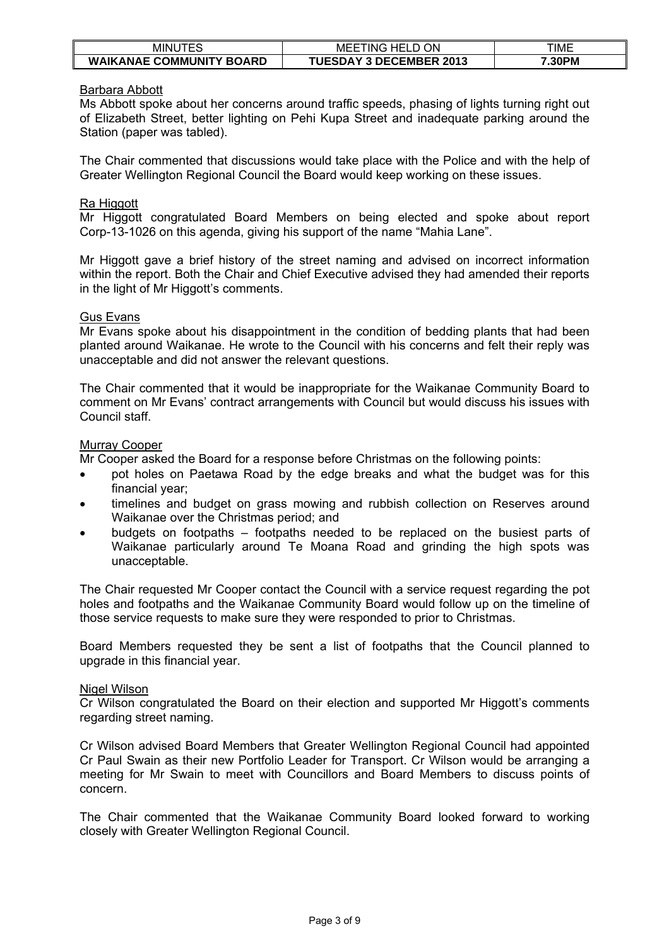| minu<br>ᅚᄃᄋ                     | ON<br>`HELL<br>. ING<br>MEE<br>$\mathbf{r}$ | TIME   |
|---------------------------------|---------------------------------------------|--------|
| <b>WAIKANAE COMMUNITY BOARD</b> | <b>TUESDAY 3 DECEMBER 2013</b>              | '.30PM |

### Barbara Abbott

Ms Abbott spoke about her concerns around traffic speeds, phasing of lights turning right out of Elizabeth Street, better lighting on Pehi Kupa Street and inadequate parking around the Station (paper was tabled).

The Chair commented that discussions would take place with the Police and with the help of Greater Wellington Regional Council the Board would keep working on these issues.

#### Ra Higgott

Mr Higgott congratulated Board Members on being elected and spoke about report Corp-13-1026 on this agenda, giving his support of the name "Mahia Lane".

Mr Higgott gave a brief history of the street naming and advised on incorrect information within the report. Both the Chair and Chief Executive advised they had amended their reports in the light of Mr Higgott's comments.

#### Gus Evans

Mr Evans spoke about his disappointment in the condition of bedding plants that had been planted around Waikanae. He wrote to the Council with his concerns and felt their reply was unacceptable and did not answer the relevant questions.

The Chair commented that it would be inappropriate for the Waikanae Community Board to comment on Mr Evans' contract arrangements with Council but would discuss his issues with Council staff.

#### Murray Cooper

Mr Cooper asked the Board for a response before Christmas on the following points:

- pot holes on Paetawa Road by the edge breaks and what the budget was for this financial year;
- timelines and budget on grass mowing and rubbish collection on Reserves around Waikanae over the Christmas period; and
- budgets on footpaths footpaths needed to be replaced on the busiest parts of Waikanae particularly around Te Moana Road and grinding the high spots was unacceptable.

The Chair requested Mr Cooper contact the Council with a service request regarding the pot holes and footpaths and the Waikanae Community Board would follow up on the timeline of those service requests to make sure they were responded to prior to Christmas.

Board Members requested they be sent a list of footpaths that the Council planned to upgrade in this financial year.

#### Nigel Wilson

Cr Wilson congratulated the Board on their election and supported Mr Higgott's comments regarding street naming.

Cr Wilson advised Board Members that Greater Wellington Regional Council had appointed Cr Paul Swain as their new Portfolio Leader for Transport. Cr Wilson would be arranging a meeting for Mr Swain to meet with Councillors and Board Members to discuss points of concern.

The Chair commented that the Waikanae Community Board looked forward to working closely with Greater Wellington Regional Council.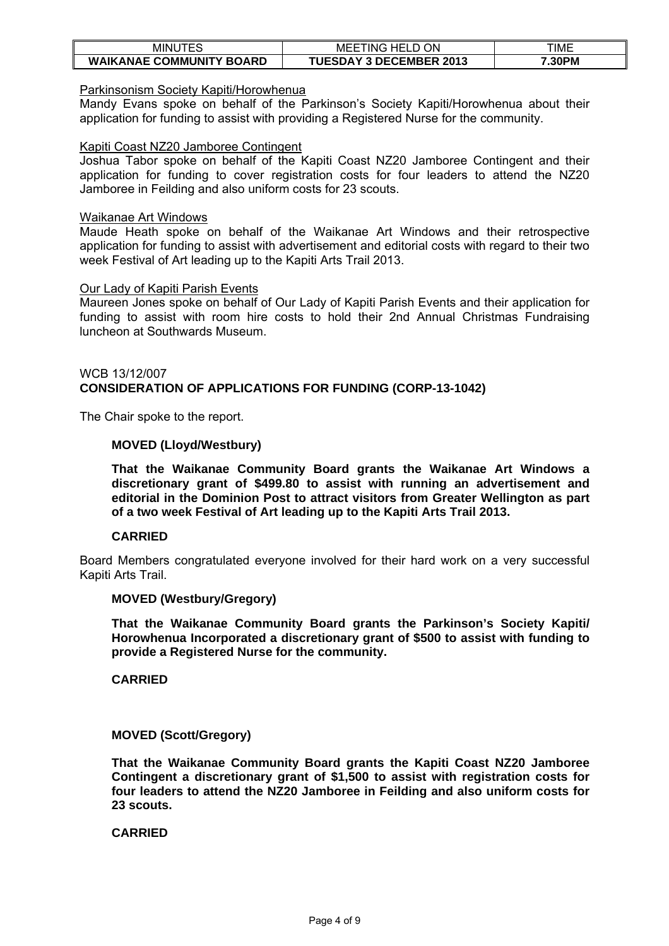| TES<br>MINU                     | ON<br>`HEL∟<br>MEE<br>ING      | TIME   |
|---------------------------------|--------------------------------|--------|
| <b>WAIKANAE COMMUNITY BOARD</b> | <b>TUESDAY 3 DECEMBER 2013</b> | 7.30PM |

#### Parkinsonism Society Kapiti/Horowhenua

Mandy Evans spoke on behalf of the Parkinson's Society Kapiti/Horowhenua about their application for funding to assist with providing a Registered Nurse for the community.

#### Kapiti Coast NZ20 Jamboree Contingent

Joshua Tabor spoke on behalf of the Kapiti Coast NZ20 Jamboree Contingent and their application for funding to cover registration costs for four leaders to attend the NZ20 Jamboree in Feilding and also uniform costs for 23 scouts.

#### Waikanae Art Windows

Maude Heath spoke on behalf of the Waikanae Art Windows and their retrospective application for funding to assist with advertisement and editorial costs with regard to their two week Festival of Art leading up to the Kapiti Arts Trail 2013.

#### Our Lady of Kapiti Parish Events

Maureen Jones spoke on behalf of Our Lady of Kapiti Parish Events and their application for funding to assist with room hire costs to hold their 2nd Annual Christmas Fundraising luncheon at Southwards Museum.

### WCB 13/12/007 **CONSIDERATION OF APPLICATIONS FOR FUNDING (CORP-13-1042)**

The Chair spoke to the report.

#### **MOVED (Lloyd/Westbury)**

**That the Waikanae Community Board grants the Waikanae Art Windows a discretionary grant of \$499.80 to assist with running an advertisement and editorial in the Dominion Post to attract visitors from Greater Wellington as part of a two week Festival of Art leading up to the Kapiti Arts Trail 2013.** 

#### **CARRIED**

Board Members congratulated everyone involved for their hard work on a very successful Kapiti Arts Trail.

#### **MOVED (Westbury/Gregory)**

**That the Waikanae Community Board grants the Parkinson's Society Kapiti/ Horowhenua Incorporated a discretionary grant of \$500 to assist with funding to provide a Registered Nurse for the community.** 

**CARRIED** 

#### **MOVED (Scott/Gregory)**

**That the Waikanae Community Board grants the Kapiti Coast NZ20 Jamboree Contingent a discretionary grant of \$1,500 to assist with registration costs for four leaders to attend the NZ20 Jamboree in Feilding and also uniform costs for 23 scouts.**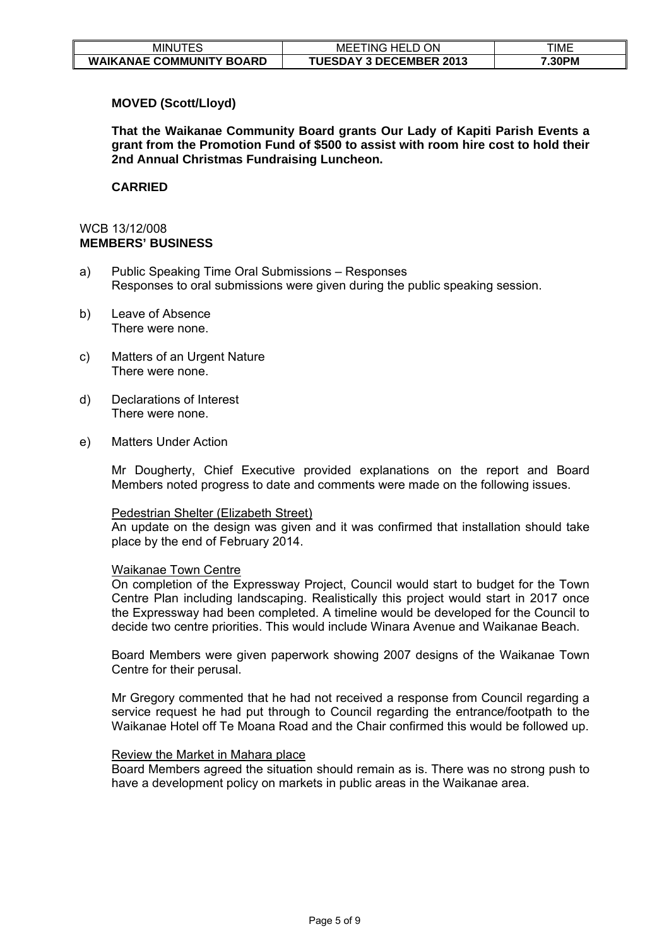| ᅚᄃ<br>MINU                      | ON<br>HEL.<br>MEE<br>. ING     | TIME   |
|---------------------------------|--------------------------------|--------|
| <b>WAIKANAE COMMUNITY BOARD</b> | <b>TUESDAY 3 DECEMBER 2013</b> | '.30PM |

# **MOVED (Scott/Lloyd)**

**That the Waikanae Community Board grants Our Lady of Kapiti Parish Events a grant from the Promotion Fund of \$500 to assist with room hire cost to hold their 2nd Annual Christmas Fundraising Luncheon.** 

#### **CARRIED**

# WCB 13/12/008 **MEMBERS' BUSINESS**

- a) Public Speaking Time Oral Submissions Responses Responses to oral submissions were given during the public speaking session.
- b) Leave of Absence There were none.
- c) Matters of an Urgent Nature There were none.
- d) Declarations of Interest There were none.
- e) Matters Under Action

Mr Dougherty, Chief Executive provided explanations on the report and Board Members noted progress to date and comments were made on the following issues.

#### Pedestrian Shelter (Elizabeth Street)

An update on the design was given and it was confirmed that installation should take place by the end of February 2014.

#### Waikanae Town Centre

On completion of the Expressway Project, Council would start to budget for the Town Centre Plan including landscaping. Realistically this project would start in 2017 once the Expressway had been completed. A timeline would be developed for the Council to decide two centre priorities. This would include Winara Avenue and Waikanae Beach.

Board Members were given paperwork showing 2007 designs of the Waikanae Town Centre for their perusal.

Mr Gregory commented that he had not received a response from Council regarding a service request he had put through to Council regarding the entrance/footpath to the Waikanae Hotel off Te Moana Road and the Chair confirmed this would be followed up.

#### Review the Market in Mahara place

Board Members agreed the situation should remain as is. There was no strong push to have a development policy on markets in public areas in the Waikanae area.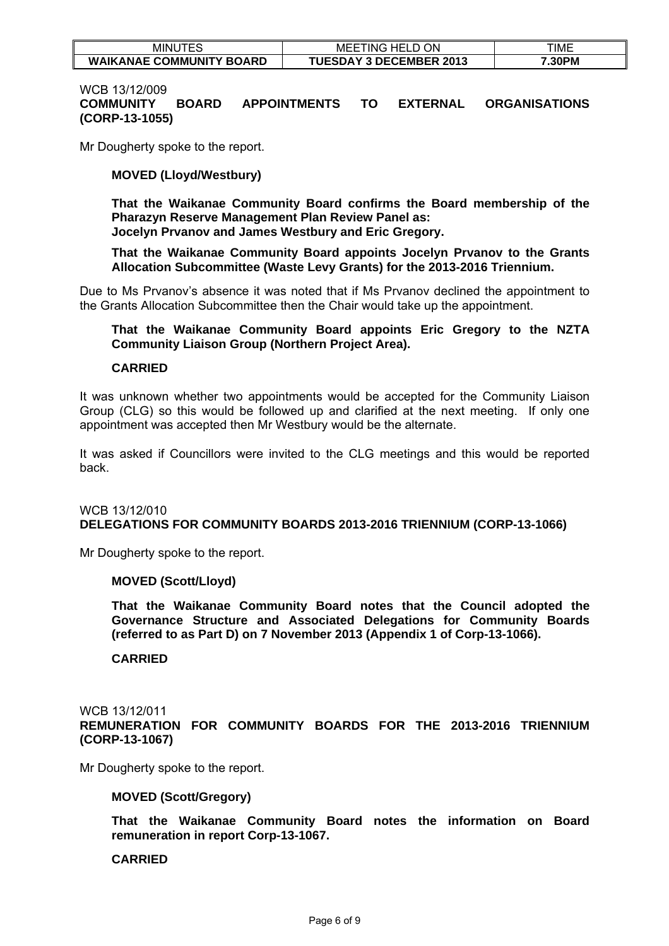| $- - -$<br>ES<br><b>MINU</b>    | ON<br>$-$<br>MEI<br>HH L<br>TING.<br>∼ | TIME   |
|---------------------------------|----------------------------------------|--------|
| <b>WAIKANAE COMMUNITY BOARD</b> | <b>TUESDAY 3 DECEMBER 2013</b>         | '.30PM |

### WCB 13/12/009 **COMMUNITY BOARD APPOINTMENTS TO EXTERNAL ORGANISATIONS (CORP-13-1055)**

Mr Dougherty spoke to the report.

### **MOVED (Lloyd/Westbury)**

**That the Waikanae Community Board confirms the Board membership of the Pharazyn Reserve Management Plan Review Panel as:** 

**Jocelyn Prvanov and James Westbury and Eric Gregory.** 

**That the Waikanae Community Board appoints Jocelyn Prvanov to the Grants Allocation Subcommittee (Waste Levy Grants) for the 2013-2016 Triennium.** 

Due to Ms Prvanov's absence it was noted that if Ms Prvanov declined the appointment to the Grants Allocation Subcommittee then the Chair would take up the appointment.

### **That the Waikanae Community Board appoints Eric Gregory to the NZTA Community Liaison Group (Northern Project Area).**

#### **CARRIED**

It was unknown whether two appointments would be accepted for the Community Liaison Group (CLG) so this would be followed up and clarified at the next meeting. If only one appointment was accepted then Mr Westbury would be the alternate.

It was asked if Councillors were invited to the CLG meetings and this would be reported back.

### WCB 13/12/010 **DELEGATIONS FOR COMMUNITY BOARDS 2013-2016 TRIENNIUM (CORP-13-1066)**

Mr Dougherty spoke to the report.

#### **MOVED (Scott/Lloyd)**

**That the Waikanae Community Board notes that the Council adopted the Governance Structure and Associated Delegations for Community Boards (referred to as Part D) on 7 November 2013 (Appendix 1 of Corp-13-1066).** 

#### **CARRIED**

#### WCB 13/12/011 **REMUNERATION FOR COMMUNITY BOARDS FOR THE 2013-2016 TRIENNIUM (CORP-13-1067)**

Mr Dougherty spoke to the report.

#### **MOVED (Scott/Gregory)**

**That the Waikanae Community Board notes the information on Board remuneration in report Corp-13-1067.**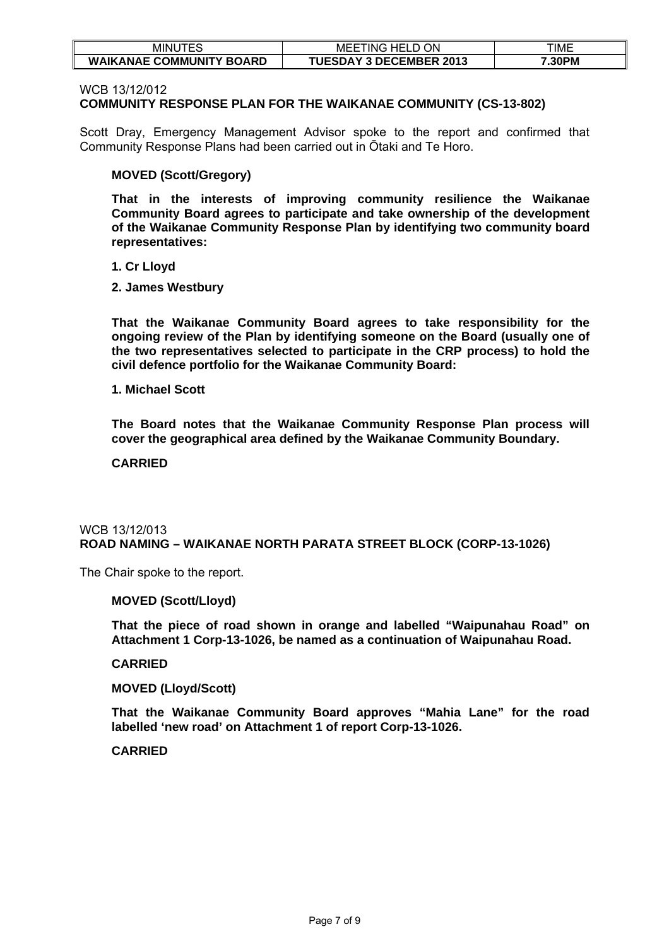| .— <i>—</i> ^<br>MINU<br>$\mathbf{I}$ | ON<br>86 H.F<br>ING-<br>MEE    | TIME   |
|---------------------------------------|--------------------------------|--------|
| <b>WAIKANAE COMMUNITY BOARD</b>       | <b>TUESDAY 3 DECEMBER 2013</b> | 7.30PM |

WCB 13/12/012

### **COMMUNITY RESPONSE PLAN FOR THE WAIKANAE COMMUNITY (CS-13-802)**

Scott Dray, Emergency Management Advisor spoke to the report and confirmed that Community Response Plans had been carried out in Ōtaki and Te Horo.

### **MOVED (Scott/Gregory)**

**That in the interests of improving community resilience the Waikanae Community Board agrees to participate and take ownership of the development of the Waikanae Community Response Plan by identifying two community board representatives:** 

**1. Cr Lloyd** 

**2. James Westbury** 

**That the Waikanae Community Board agrees to take responsibility for the ongoing review of the Plan by identifying someone on the Board (usually one of the two representatives selected to participate in the CRP process) to hold the civil defence portfolio for the Waikanae Community Board:** 

**1. Michael Scott** 

**The Board notes that the Waikanae Community Response Plan process will cover the geographical area defined by the Waikanae Community Boundary.** 

**CARRIED** 

### WCB 13/12/013 **ROAD NAMING – WAIKANAE NORTH PARATA STREET BLOCK (CORP-13-1026)**

The Chair spoke to the report.

#### **MOVED (Scott/Lloyd)**

**That the piece of road shown in orange and labelled "Waipunahau Road" on Attachment 1 Corp-13-1026, be named as a continuation of Waipunahau Road.** 

#### **CARRIED**

### **MOVED (Lloyd/Scott)**

**That the Waikanae Community Board approves "Mahia Lane" for the road labelled 'new road' on Attachment 1 of report Corp-13-1026.**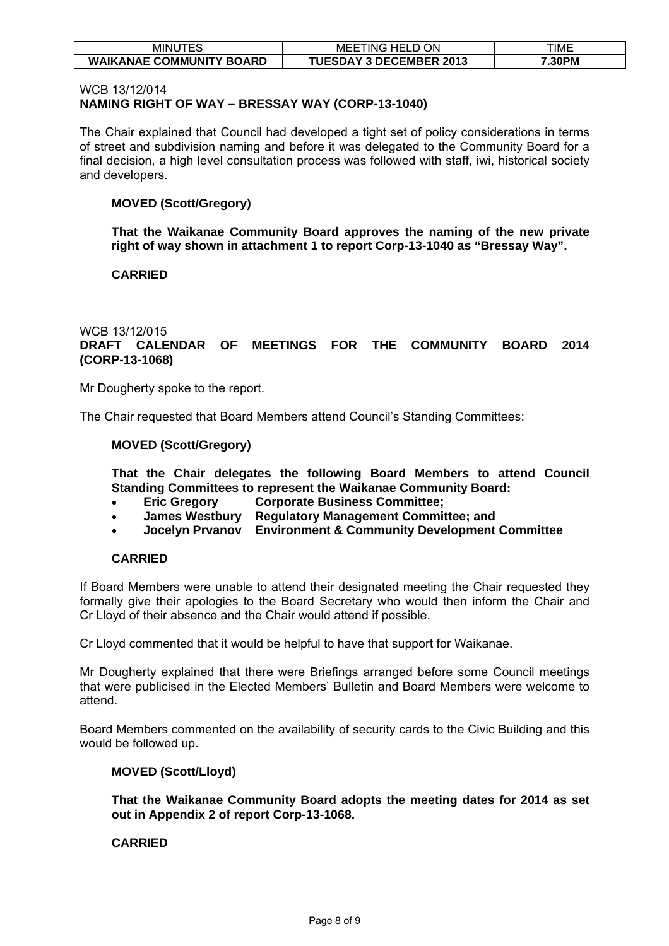| $- - - -$<br>MINU<br>-          | ON<br>-<br>ML<br>. HH'<br>ING<br>டப<br>◡ | TIME   |
|---------------------------------|------------------------------------------|--------|
| <b>WAIKANAE COMMUNITY BOARD</b> | <b>TUESDAY 3 DECEMBER 2013</b>           | 7.30PM |

### WCB 13/12/014 **NAMING RIGHT OF WAY – BRESSAY WAY (CORP-13-1040)**

The Chair explained that Council had developed a tight set of policy considerations in terms of street and subdivision naming and before it was delegated to the Community Board for a final decision, a high level consultation process was followed with staff, iwi, historical society and developers.

# **MOVED (Scott/Gregory)**

**That the Waikanae Community Board approves the naming of the new private right of way shown in attachment 1 to report Corp-13-1040 as "Bressay Way".** 

# **CARRIED**

# WCB 13/12/015

# **DRAFT CALENDAR OF MEETINGS FOR THE COMMUNITY BOARD 2014 (CORP-13-1068)**

Mr Dougherty spoke to the report.

The Chair requested that Board Members attend Council's Standing Committees:

### **MOVED (Scott/Gregory)**

**That the Chair delegates the following Board Members to attend Council Standing Committees to represent the Waikanae Community Board:** 

- **Eric Gregory Corporate Business Committee;**
- **James Westbury Regulatory Management Committee; and**
- **Jocelyn Prvanov Environment & Community Development Committee**

# **CARRIED**

If Board Members were unable to attend their designated meeting the Chair requested they formally give their apologies to the Board Secretary who would then inform the Chair and Cr Lloyd of their absence and the Chair would attend if possible.

Cr Lloyd commented that it would be helpful to have that support for Waikanae.

Mr Dougherty explained that there were Briefings arranged before some Council meetings that were publicised in the Elected Members' Bulletin and Board Members were welcome to attend.

Board Members commented on the availability of security cards to the Civic Building and this would be followed up.

# **MOVED (Scott/Lloyd)**

**That the Waikanae Community Board adopts the meeting dates for 2014 as set out in Appendix 2 of report Corp-13-1068.**